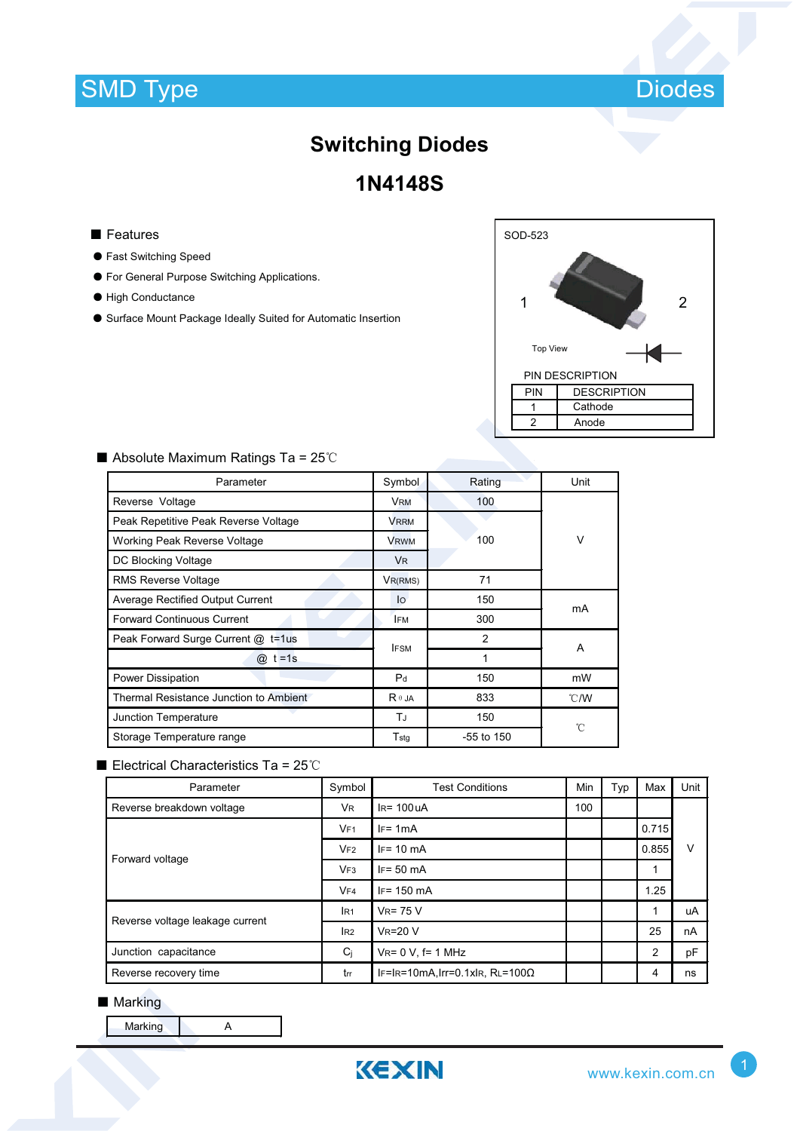

# **Switching Diodes**

**1N4148S**

- Features
- ƽ Fast Switching Speed
- ƽ For General Purpose Switching Applications.
- ƽ High Conductance
- ƽ Surface Mount Package Ideally Suited for Automatic Insertion



| Parameter                               | Symbol           | Rating         | Unit          |  |
|-----------------------------------------|------------------|----------------|---------------|--|
| Reverse Voltage                         | <b>VRM</b>       | 100            |               |  |
| Peak Repetitive Peak Reverse Voltage    | <b>VRRM</b>      |                |               |  |
| Working Peak Reverse Voltage            | <b>VRWM</b>      | 100            | v             |  |
| DC Blocking Voltage                     | V <sub>R</sub>   |                |               |  |
| <b>RMS Reverse Voltage</b>              | $V_{R(RMS)}$     | 71             |               |  |
| <b>Average Rectified Output Current</b> | 150<br>lo        |                | mA            |  |
| <b>Forward Continuous Current</b>       | <b>IFM</b>       | 300            |               |  |
| Peak Forward Surge Current @ t=1us      | <b>IFSM</b>      | $\overline{2}$ | A             |  |
| $@:t=1s$                                |                  | 1              |               |  |
| Power Dissipation                       | P <sub>d</sub>   | 150            | mW            |  |
| Thermal Resistance Junction to Ambient  | $R \theta$ JA    | 833            | $\degree$ C/W |  |
| Junction Temperature                    | TJ               | 150            | °C            |  |
| Storage Temperature range               | $T_{\text{std}}$ | $-55$ to 150   |               |  |

#### $\blacksquare$  Absolute Maximum Ratings Ta = 25°C

#### Electrical Characteristics Ta =  $25^{\circ}$ C

| Parameter                       | Symbol          | <b>Test Conditions</b>                  |  | Typ | Max            | Unit |
|---------------------------------|-----------------|-----------------------------------------|--|-----|----------------|------|
| Reverse breakdown voltage       | <b>VR</b>       | $IR = 100UA$                            |  |     |                |      |
| Forward voltage                 | VF1             | $IF = 1mA$                              |  |     | 0.715          | v    |
|                                 | VF2             | $IF = 10 mA$                            |  |     | 0.855          |      |
|                                 | VF3             | $IF = 50 mA$                            |  |     | 1              |      |
|                                 | VFA             | $IF = 150 mA$                           |  |     | 1.25           |      |
| Reverse voltage leakage current | IR <sub>1</sub> | $V_R = 75 V$                            |  |     | 1              | uA   |
|                                 | IR2             | $V_R = 20 V$                            |  |     | 25             | nA   |
| Junction capacitance            | Ci              | $V_{R} = 0 V$ , f= 1 MHz                |  |     | $\overline{2}$ | pF   |
| Reverse recovery time           | trr             | IF=IR=10mA, Irr=0.1xIR, RL=100 $\Omega$ |  |     | 4              | ns   |

#### ■ Marking

Marking A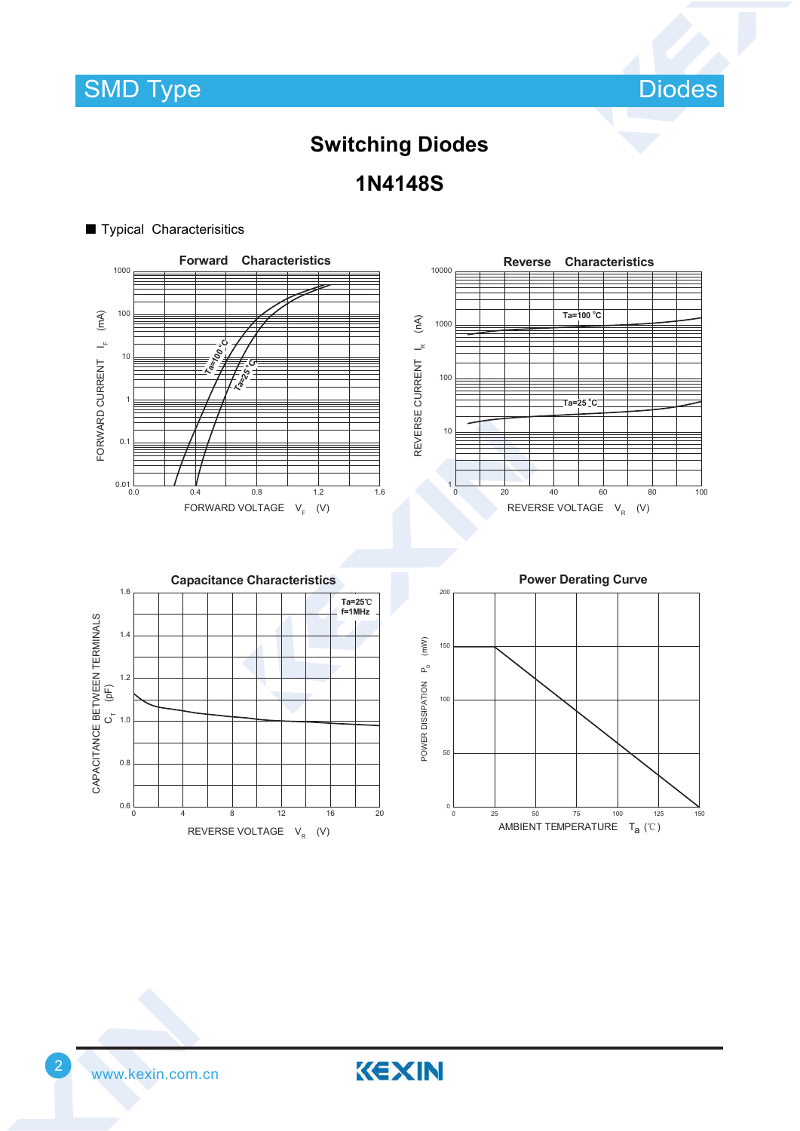**SMD Type** 

Diodes

## **Switching Diodes**

**1N4148S**